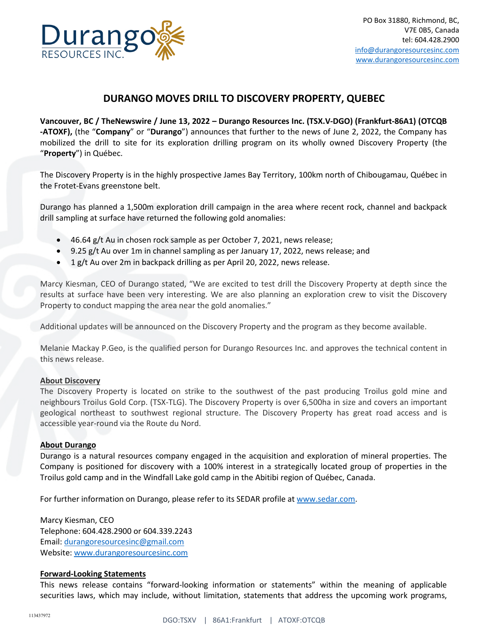

## **DURANGO MOVES DRILL TO DISCOVERY PROPERTY, QUEBEC**

**Vancouver, BC / TheNewswire / June 13, 2022 – Durango Resources Inc. (TSX.V-DGO) (Frankfurt-86A1) (OTCQB -ATOXF),** (the "**Company**" or "**Durango**") announces that further to the news of June 2, 2022, the Company has mobilized the drill to site for its exploration drilling program on its wholly owned Discovery Property (the "**Property**") in Québec.

The Discovery Property is in the highly prospective James Bay Territory, 100km north of Chibougamau, Québec in the Frotet-Evans greenstone belt.

Durango has planned a 1,500m exploration drill campaign in the area where recent rock, channel and backpack drill sampling at surface have returned the following gold anomalies:

- 46.64 g/t Au in chosen rock sample as per October 7, 2021, news release;
- 9.25 g/t Au over 1m in channel sampling as per January 17, 2022, news release; and
- 1 g/t Au over 2m in backpack drilling as per April 20, 2022, news release.

Marcy Kiesman, CEO of Durango stated, "We are excited to test drill the Discovery Property at depth since the results at surface have been very interesting. We are also planning an exploration crew to visit the Discovery Property to conduct mapping the area near the gold anomalies."

Additional updates will be announced on the Discovery Property and the program as they become available.

Melanie Mackay P.Geo, is the qualified person for Durango Resources Inc. and approves the technical content in this news release.

## **About Discovery**

The Discovery Property is located on strike to the southwest of the past producing Troilus gold mine and neighbours Troilus Gold Corp. (TSX-TLG). The Discovery Property is over 6,500ha in size and covers an important geological northeast to southwest regional structure. The Discovery Property has great road access and is accessible year-round via the Route du Nord.

## **About Durango**

Durango is a natural resources company engaged in the acquisition and exploration of mineral properties. The Company is positioned for discovery with a 100% interest in a strategically located group of properties in the Troilus gold camp and in the Windfall Lake gold camp in the Abitibi region of Québec, Canada.

For further information on Durango, please refer to its SEDAR profile at [www.sedar.com.](http://www.sedar.com/)

Marcy Kiesman, CEO Telephone: 604.428.2900 or 604.339.2243 Email: [durangoresourcesinc@gmail.com](mailto:durangoresourcesinc@gmail.com) Website[: www.durangoresourcesinc.com](http://www.durangoresourcesinc.com/)

## **Forward-Looking Statements**

This news release contains "forward-looking information or statements" within the meaning of applicable securities laws, which may include, without limitation, statements that address the upcoming work programs,